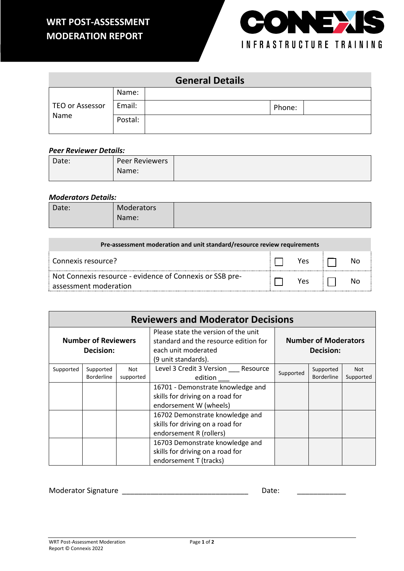## **WRT POST-ASSESSMENT MODERATION REPORT**



|                        |         | <b>General Details</b> |        |  |
|------------------------|---------|------------------------|--------|--|
|                        | Name:   |                        |        |  |
| <b>TEO or Assessor</b> | Email:  |                        | Phone: |  |
| Name                   | Postal: |                        |        |  |

#### *Peer Reviewer Details:*

| Date: | Peer Reviewers |
|-------|----------------|
|       | Name:          |
|       |                |

### *Moderators Details:*

| Date: | Moderators |  |
|-------|------------|--|
|       | Name:      |  |

| Pre-assessment moderation and unit standard/resource review requirements          |  |     |  |  |  |  |  |
|-----------------------------------------------------------------------------------|--|-----|--|--|--|--|--|
| : Connexis resource?                                                              |  | Yes |  |  |  |  |  |
| Not Connexis resource - evidence of Connexis or SSB pre-<br>assessment moderation |  | Yes |  |  |  |  |  |

|                                         | <b>Reviewers and Moderator Decisions</b> |                         |                                                                                                                                                            |           |                                |                         |  |  |
|-----------------------------------------|------------------------------------------|-------------------------|------------------------------------------------------------------------------------------------------------------------------------------------------------|-----------|--------------------------------|-------------------------|--|--|
| <b>Number of Reviewers</b><br>Decision: |                                          |                         | Please state the version of the unit<br><b>Number of Moderators</b><br>standard and the resource edition for<br>each unit moderated<br>(9 unit standards). |           | Decision:                      |                         |  |  |
| Supported                               | Supported<br><b>Borderline</b>           | <b>Not</b><br>supported | Level 3 Credit 3 Version Resource<br>edition                                                                                                               | Supported | Supported<br><b>Borderline</b> | <b>Not</b><br>Supported |  |  |
|                                         |                                          |                         | 16701 - Demonstrate knowledge and<br>skills for driving on a road for<br>endorsement W (wheels)                                                            |           |                                |                         |  |  |
|                                         |                                          |                         | 16702 Demonstrate knowledge and<br>skills for driving on a road for<br>endorsement R (rollers)                                                             |           |                                |                         |  |  |
|                                         |                                          |                         | 16703 Demonstrate knowledge and<br>skills for driving on a road for<br>endorsement T (tracks)                                                              |           |                                |                         |  |  |

Moderator Signature \_\_\_\_\_\_\_\_\_\_\_\_\_\_\_\_\_\_\_\_\_\_\_\_\_\_\_\_\_\_\_ Date: \_\_\_\_\_\_\_\_\_\_\_\_